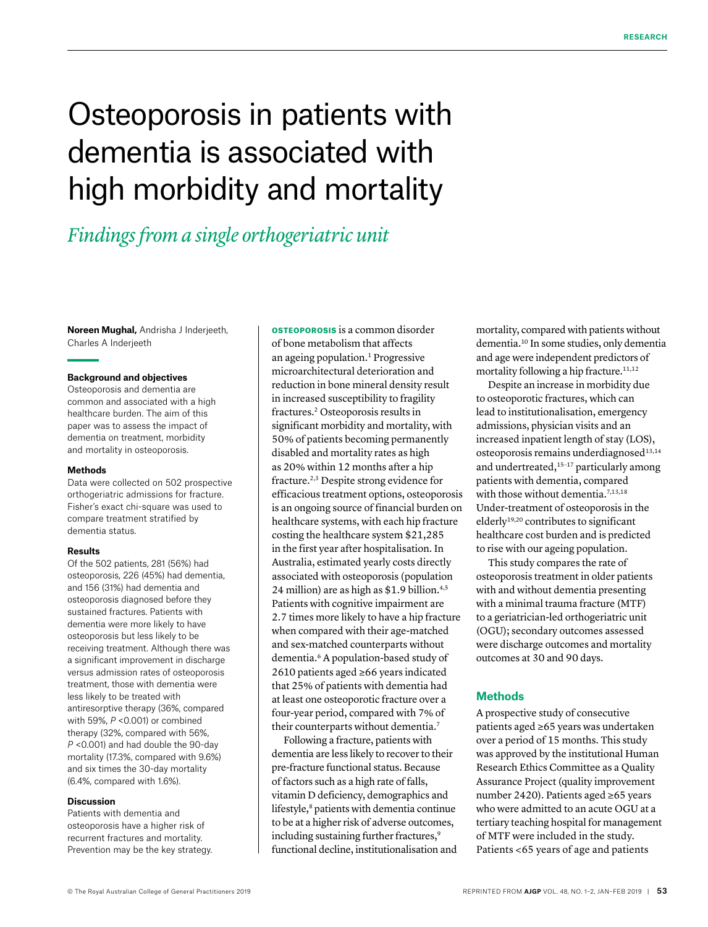# Osteoporosis in patients with dementia is associated with high morbidity and mortality

# *Findings from a single orthogeriatric unit*

**Noreen Mughal,** Andrisha J Inderjeeth, Charles A Inderjeeth

## **Background and objectives**

Osteoporosis and dementia are common and associated with a high healthcare burden. The aim of this paper was to assess the impact of dementia on treatment, morbidity and mortality in osteoporosis.

#### **Methods**

Data were collected on 502 prospective orthogeriatric admissions for fracture. Fisher's exact chi-square was used to compare treatment stratified by dementia status.

# **Results**

Of the 502 patients, 281 (56%) had osteoporosis, 226 (45%) had dementia, and 156 (31%) had dementia and osteoporosis diagnosed before they sustained fractures. Patients with dementia were more likely to have osteoporosis but less likely to be receiving treatment. Although there was a significant improvement in discharge versus admission rates of osteoporosis treatment, those with dementia were less likely to be treated with antiresorptive therapy (36%, compared with 59%, *P* <0.001) or combined therapy (32%, compared with 56%, *P* <0.001) and had double the 90-day mortality (17.3%, compared with 9.6%) and six times the 30-day mortality (6.4%, compared with 1.6%).

# **Discussion**

Patients with dementia and osteoporosis have a higher risk of recurrent fractures and mortality. Prevention may be the key strategy.

OSTEOPOROSIS is a common disorder of bone metabolism that affects an ageing population.<sup>1</sup> Progressive microarchitectural deterioration and reduction in bone mineral density result in increased susceptibility to fragility fractures.2 Osteoporosis results in significant morbidity and mortality, with 50% of patients becoming permanently disabled and mortality rates as high as 20% within 12 months after a hip fracture.2,3 Despite strong evidence for efficacious treatment options, osteoporosis is an ongoing source of financial burden on healthcare systems, with each hip fracture costing the healthcare system \$21,285 in the first year after hospitalisation. In Australia, estimated yearly costs directly associated with osteoporosis (population 24 million) are as high as \$1.9 billion.<sup>4,5</sup> Patients with cognitive impairment are 2.7 times more likely to have a hip fracture when compared with their age-matched and sex-matched counterparts without dementia.6 A population-based study of 2610 patients aged ≥66 years indicated that 25% of patients with dementia had at least one osteoporotic fracture over a four-year period, compared with 7% of their counterparts without dementia.<sup>7</sup>

Following a fracture, patients with dementia are less likely to recover to their pre-fracture functional status. Because of factors such as a high rate of falls, vitamin D deficiency, demographics and lifestyle,<sup>8</sup> patients with dementia continue to be at a higher risk of adverse outcomes, including sustaining further fractures,<sup>9</sup> functional decline, institutionalisation and mortality, compared with patients without dementia.10 In some studies, only dementia and age were independent predictors of mortality following a hip fracture.<sup>11,12</sup>

Despite an increase in morbidity due to osteoporotic fractures, which can lead to institutionalisation, emergency admissions, physician visits and an increased inpatient length of stay (LOS), osteoporosis remains underdiagnosed<sup>13,14</sup> and undertreated, $15-17$  particularly among patients with dementia, compared with those without dementia.<sup>7,13,18</sup> Under-treatment of osteoporosis in the elderly<sup>19,20</sup> contributes to significant healthcare cost burden and is predicted to rise with our ageing population.

This study compares the rate of osteoporosis treatment in older patients with and without dementia presenting with a minimal trauma fracture (MTF) to a geriatrician-led orthogeriatric unit (OGU); secondary outcomes assessed were discharge outcomes and mortality outcomes at 30 and 90 days.

# **Methods**

A prospective study of consecutive patients aged ≥65 years was undertaken over a period of 15 months. This study was approved by the institutional Human Research Ethics Committee as a Quality Assurance Project (quality improvement number 2420). Patients aged ≥65 years who were admitted to an acute OGU at a tertiary teaching hospital for management of MTF were included in the study. Patients <65 years of age and patients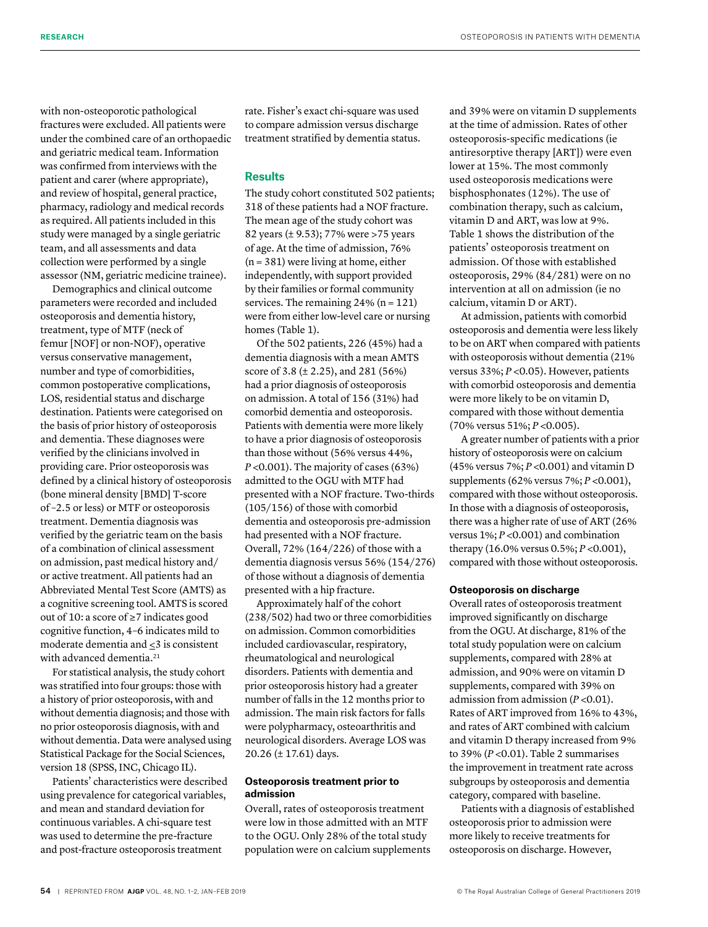with non-osteoporotic pathological fractures were excluded. All patients were under the combined care of an orthopaedic and geriatric medical team. Information was confirmed from interviews with the patient and carer (where appropriate), and review of hospital, general practice, pharmacy, radiology and medical records as required. All patients included in this study were managed by a single geriatric team, and all assessments and data collection were performed by a single assessor (NM, geriatric medicine trainee).

Demographics and clinical outcome parameters were recorded and included osteoporosis and dementia history, treatment, type of MTF (neck of femur [NOF] or non-NOF), operative versus conservative management, number and type of comorbidities, common postoperative complications, LOS, residential status and discharge destination. Patients were categorised on the basis of prior history of osteoporosis and dementia. These diagnoses were verified by the clinicians involved in providing care. Prior osteoporosis was defined by a clinical history of osteoporosis (bone mineral density [BMD] T-score of –2.5 or less) or MTF or osteoporosis treatment. Dementia diagnosis was verified by the geriatric team on the basis of a combination of clinical assessment on admission, past medical history and/ or active treatment. All patients had an Abbreviated Mental Test Score (AMTS) as a cognitive screening tool. AMTS is scored out of 10: a score of ≥7 indicates good cognitive function, 4–6 indicates mild to moderate dementia and <3 is consistent with advanced dementia.<sup>21</sup>

For statistical analysis, the study cohort was stratified into four groups: those with a history of prior osteoporosis, with and without dementia diagnosis; and those with no prior osteoporosis diagnosis, with and without dementia. Data were analysed using Statistical Package for the Social Sciences, version 18 (SPSS, INC, Chicago IL).

Patients' characteristics were described using prevalence for categorical variables, and mean and standard deviation for continuous variables. A chi-square test was used to determine the pre-fracture and post-fracture osteoporosis treatment

rate. Fisher's exact chi-square was used to compare admission versus discharge treatment stratified by dementia status.

# **Results**

The study cohort constituted 502 patients; 318 of these patients had a NOF fracture. The mean age of the study cohort was 82 years (± 9.53); 77% were >75 years of age. At the time of admission, 76%  $(n = 381)$  were living at home, either independently, with support provided by their families or formal community services. The remaining  $24\%$  (n = 121) were from either low-level care or nursing homes (Table 1).

Of the 502 patients, 226 (45%) had a dementia diagnosis with a mean AMTS score of 3.8 (± 2.25), and 281 (56%) had a prior diagnosis of osteoporosis on admission. A total of 156 (31%) had comorbid dementia and osteoporosis. Patients with dementia were more likely to have a prior diagnosis of osteoporosis than those without (56% versus 44%, *P* <0.001). The majority of cases (63%) admitted to the OGU with MTF had presented with a NOF fracture. Two-thirds (105/156) of those with comorbid dementia and osteoporosis pre-admission had presented with a NOF fracture. Overall, 72% (164/226) of those with a dementia diagnosis versus 56% (154/276) of those without a diagnosis of dementia presented with a hip fracture.

Approximately half of the cohort (238/502) had two or three comorbidities on admission. Common comorbidities included cardiovascular, respiratory, rheumatological and neurological disorders. Patients with dementia and prior osteoporosis history had a greater number of falls in the 12 months prior to admission. The main risk factors for falls were polypharmacy, osteoarthritis and neurological disorders. Average LOS was 20.26 (± 17.61) days.

# **Osteoporosis treatment prior to admission**

Overall, rates of osteoporosis treatment were low in those admitted with an MTF to the OGU. Only 28% of the total study population were on calcium supplements and 39% were on vitamin D supplements at the time of admission. Rates of other osteoporosis-specific medications (ie antiresorptive therapy [ART]) were even lower at 15%. The most commonly used osteoporosis medications were bisphosphonates (12%). The use of combination therapy, such as calcium, vitamin D and ART, was low at 9%. Table 1 shows the distribution of the patients' osteoporosis treatment on admission. Of those with established osteoporosis, 29% (84/281) were on no intervention at all on admission (ie no calcium, vitamin D or ART).

At admission, patients with comorbid osteoporosis and dementia were less likely to be on ART when compared with patients with osteoporosis without dementia (21% versus 33%; *P* <0.05). However, patients with comorbid osteoporosis and dementia were more likely to be on vitamin D, compared with those without dementia (70% versus 51%; *P* <0.005).

A greater number of patients with a prior history of osteoporosis were on calcium (45% versus 7%; *P* <0.001) and vitamin D supplements (62% versus 7%; *P* <0.001), compared with those without osteoporosis. In those with a diagnosis of osteoporosis, there was a higher rate of use of ART (26% versus 1%; *P* <0.001) and combination therapy (16.0% versus 0.5%; *P* <0.001), compared with those without osteoporosis.

# **Osteoporosis on discharge**

Overall rates of osteoporosis treatment improved significantly on discharge from the OGU. At discharge, 81% of the total study population were on calcium supplements, compared with 28% at admission, and 90% were on vitamin D supplements, compared with 39% on admission from admission (*P* <0.01). Rates of ART improved from 16% to 43%, and rates of ART combined with calcium and vitamin D therapy increased from 9% to 39% (*P* <0.01). Table 2 summarises the improvement in treatment rate across subgroups by osteoporosis and dementia category, compared with baseline.

Patients with a diagnosis of established osteoporosis prior to admission were more likely to receive treatments for osteoporosis on discharge. However,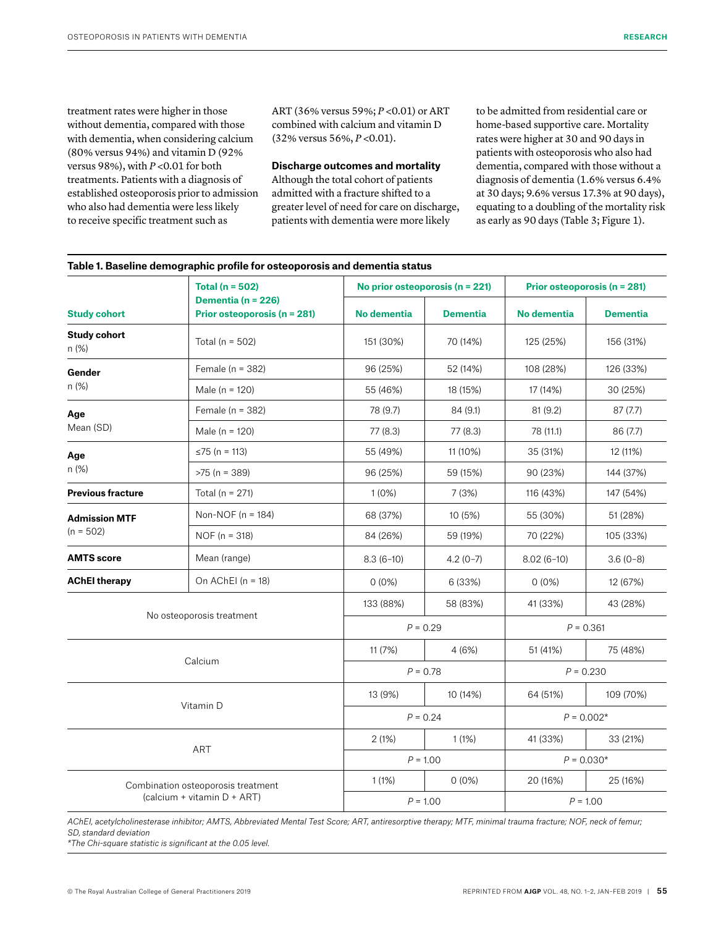treatment rates were higher in those without dementia, compared with those with dementia, when considering calcium (80% versus 94%) and vitamin D (92% versus 98%), with *P* <0.01 for both treatments. Patients with a diagnosis of established osteoporosis prior to admission who also had dementia were less likely to receive specific treatment such as

ART (36% versus 59%; *P* <0.01) or ART combined with calcium and vitamin D (32% versus 56%, *P* <0.01).

## **Discharge outcomes and mortality**

Although the total cohort of patients admitted with a fracture shifted to a greater level of need for care on discharge, patients with dementia were more likely

to be admitted from residential care or home-based supportive care. Mortality rates were higher at 30 and 90 days in patients with osteoporosis who also had dementia, compared with those without a diagnosis of dementia (1.6% versus 6.4% at 30 days; 9.6% versus 17.3% at 90 days), equating to a doubling of the mortality risk as early as 90 days (Table 3; Figure 1).

|                                                                   | Total ( $n = 502$ )<br>Dementia (n = 226)<br>Prior osteoporosis (n = 281) | No prior osteoporosis ( $n = 221$ ) |                 | Prior osteoporosis (n = 281) |                 |
|-------------------------------------------------------------------|---------------------------------------------------------------------------|-------------------------------------|-----------------|------------------------------|-----------------|
| <b>Study cohort</b>                                               |                                                                           | <b>No dementia</b>                  | <b>Dementia</b> | <b>No dementia</b>           | <b>Dementia</b> |
| <b>Study cohort</b><br>n (%)                                      | Total ( $n = 502$ )                                                       | 151 (30%)                           | 70 (14%)        | 125 (25%)                    | 156 (31%)       |
| Gender<br>n (%)                                                   | Female ( $n = 382$ )                                                      | 96 (25%)                            | 52 (14%)        | 108 (28%)                    | 126 (33%)       |
|                                                                   | Male ( $n = 120$ )                                                        | 55 (46%)                            | 18 (15%)        | 17 (14%)                     | 30 (25%)        |
| Age                                                               | Female $(n = 382)$                                                        | 78 (9.7)                            | 84 (9.1)        | 81 (9.2)                     | 87(7.7)         |
| Mean (SD)                                                         | Male ( $n = 120$ )                                                        | 77 (8.3)                            | 77 (8.3)        | 78 (11.1)                    | 86 (7.7)        |
| Age                                                               | ≤75 (n = 113)                                                             | 55 (49%)                            | 11 (10%)        | 35 (31%)                     | 12 (11%)        |
| n(%)                                                              | $>75$ (n = 389)                                                           | 96 (25%)                            | 59 (15%)        | 90 (23%)                     | 144 (37%)       |
| <b>Previous fracture</b>                                          | Total ( $n = 271$ )                                                       | $1(0\%)$                            | 7(3%)           | 116 (43%)                    | 147 (54%)       |
| <b>Admission MTF</b><br>$(n = 502)$                               | Non-NOF ( $n = 184$ )                                                     | 68 (37%)                            | 10(5%)          | 55 (30%)                     | 51 (28%)        |
|                                                                   | $NOF (n = 318)$                                                           | 84 (26%)                            | 59 (19%)        | 70 (22%)                     | 105 (33%)       |
| <b>AMTS</b> score                                                 | Mean (range)                                                              | $8.3(6-10)$                         | $4.2(0-7)$      | $8.02(6-10)$                 | $3.6(0-8)$      |
| <b>AChEl therapy</b>                                              | On AChEI ( $n = 18$ )                                                     | $0(0\%)$                            | 6 (33%)         | $0(0\%)$                     | 12 (67%)        |
|                                                                   |                                                                           | 133 (88%)                           | 58 (83%)        | 41 (33%)                     | 43 (28%)        |
| No osteoporosis treatment                                         |                                                                           | $P = 0.29$                          |                 | $P = 0.361$                  |                 |
| Calcium                                                           |                                                                           | 11 (7%)                             | 4(6%)           | 51 (41%)                     | 75 (48%)        |
|                                                                   |                                                                           | $P = 0.78$                          |                 | $P = 0.230$                  |                 |
| Vitamin D                                                         |                                                                           | 13 (9%)                             | 10 (14%)        | 64 (51%)                     | 109 (70%)       |
|                                                                   |                                                                           | $P = 0.24$                          |                 | $P = 0.002*$                 |                 |
| <b>ART</b>                                                        |                                                                           | 2(1%)                               | 1(1%)           | 41 (33%)                     | 33 (21%)        |
|                                                                   |                                                                           | $P = 1.00$                          |                 | $P = 0.030*$                 |                 |
| Combination osteoporosis treatment<br>(calcium + vitamin D + ART) |                                                                           | 1(1%)                               | $0(0\%)$        | 20 (16%)                     | 25 (16%)        |
|                                                                   |                                                                           | $P = 1.00$                          |                 | $P = 1.00$                   |                 |

**Table 1. Baseline demographic profile for osteoporosis and dementia status**

*AChEI, acetylcholinesterase inhibitor; AMTS, Abbreviated Mental Test Score; ART, antiresorptive therapy; MTF, minimal trauma fracture; NOF, neck of femur; SD, standard deviation*

*\*The Chi-square statistic is significant at the 0.05 level.*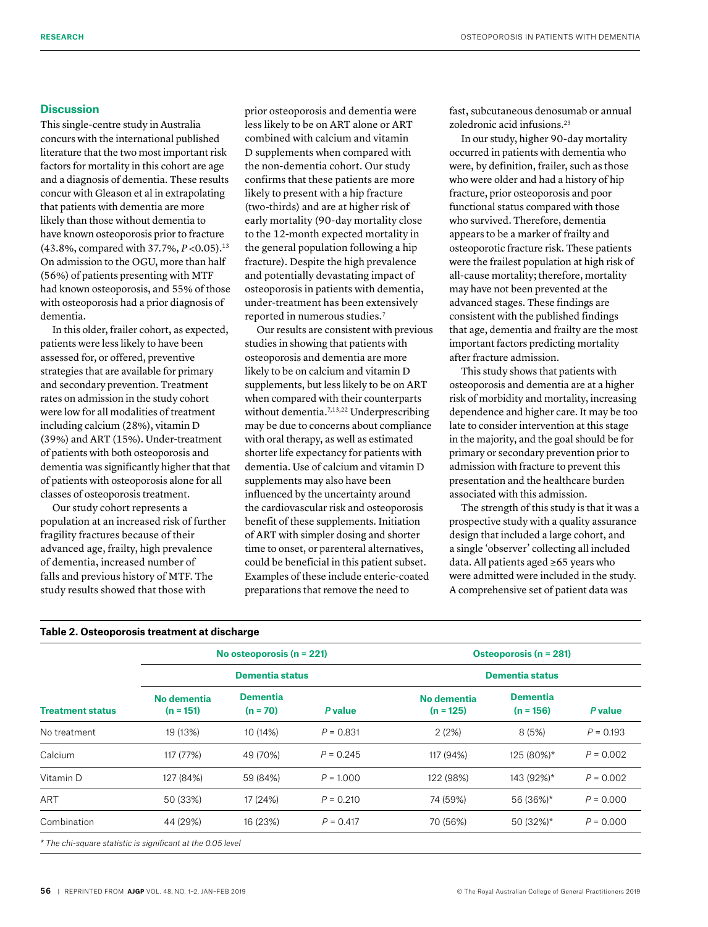# **Discussion**

This single-centre study in Australia concurs with the international published literature that the two most important risk factors for mortality in this cohort are age and a diagnosis of dementia. These results concur with Gleason et al in extrapolating that patients with dementia are more likely than those without dementia to have known osteoporosis prior to fracture (43.8%, compared with 37.7%, *P* <0.05).13 On admission to the OGU, more than half (56%) of patients presenting with MTF had known osteoporosis, and 55% of those with osteoporosis had a prior diagnosis of dementia.

In this older, frailer cohort, as expected, patients were less likely to have been assessed for, or offered, preventive strategies that are available for primary and secondary prevention. Treatment rates on admission in the study cohort were low for all modalities of treatment including calcium (28%), vitamin D (39%) and ART (15%). Under-treatment of patients with both osteoporosis and dementia was significantly higher that that of patients with osteoporosis alone for all classes of osteoporosis treatment.

Our study cohort represents a population at an increased risk of further fragility fractures because of their advanced age, frailty, high prevalence of dementia, increased number of falls and previous history of MTF. The study results showed that those with

prior osteoporosis and dementia were less likely to be on ART alone or ART combined with calcium and vitamin D supplements when compared with the non-dementia cohort. Our study confirms that these patients are more likely to present with a hip fracture (two-thirds) and are at higher risk of early mortality (90-day mortality close to the 12-month expected mortality in the general population following a hip fracture). Despite the high prevalence and potentially devastating impact of osteoporosis in patients with dementia, under-treatment has been extensively reported in numerous studies.7

Our results are consistent with previous studies in showing that patients with osteoporosis and dementia are more likely to be on calcium and vitamin D supplements, but less likely to be on ART when compared with their counterparts without dementia.<sup>7,13,22</sup> Underprescribing may be due to concerns about compliance with oral therapy, as well as estimated shorter life expectancy for patients with dementia. Use of calcium and vitamin D supplements may also have been influenced by the uncertainty around the cardiovascular risk and osteoporosis benefit of these supplements. Initiation of ART with simpler dosing and shorter time to onset, or parenteral alternatives, could be beneficial in this patient subset. Examples of these include enteric-coated preparations that remove the need to

fast, subcutaneous denosumab or annual zoledronic acid infusions.23

In our study, higher 90-day mortality occurred in patients with dementia who were, by definition, frailer, such as those who were older and had a history of hip fracture, prior osteoporosis and poor functional status compared with those who survived. Therefore, dementia appears to be a marker of frailty and osteoporotic fracture risk. These patients were the frailest population at high risk of all-cause mortality; therefore, mortality may have not been prevented at the advanced stages. These findings are consistent with the published findings that age, dementia and frailty are the most important factors predicting mortality after fracture admission.

This study shows that patients with osteoporosis and dementia are at a higher risk of morbidity and mortality, increasing dependence and higher care. It may be too late to consider intervention at this stage in the majority, and the goal should be for primary or secondary prevention prior to admission with fracture to prevent this presentation and the healthcare burden associated with this admission.

The strength of this study is that it was a prospective study with a quality assurance design that included a large cohort, and a single 'observer' collecting all included data. All patients aged ≥65 years who were admitted were included in the study. A comprehensive set of patient data was

| <b>Treatment status</b> | No osteoporosis ( $n = 221$ ) |                        | Osteoporosis (n = 281)<br><b>Dementia status</b> |                            |                                |             |
|-------------------------|-------------------------------|------------------------|--------------------------------------------------|----------------------------|--------------------------------|-------------|
|                         | <b>Dementia status</b>        |                        |                                                  |                            |                                |             |
|                         | No dementia<br>$(n = 151)$    | Dementia<br>$(n = 70)$ | P value                                          | No dementia<br>$(n = 125)$ | <b>Dementia</b><br>$(n = 156)$ | P value     |
| No treatment            | 19 (13%)                      | 10 (14%)               | $P = 0.831$                                      | 2(2%)                      | 8(5%)                          | $P = 0.193$ |
| Calcium                 | 117 (77%)                     | 49 (70%)               | $P = 0.245$                                      | 117 (94%)                  | 125 (80%)*                     | $P = 0.002$ |
| Vitamin D               | 127 (84%)                     | 59 (84%)               | $P = 1.000$                                      | 122 (98%)                  | 143 (92%)*                     | $P = 0.002$ |
| <b>ART</b>              | 50 (33%)                      | 17 (24%)               | $P = 0.210$                                      | 74 (59%)                   | 56 (36%)*                      | $P = 0.000$ |
| Combination             | 44 (29%)                      | 16 (23%)               | $P = 0.417$                                      | 70 (56%)                   | 50 (32%)*                      | $P = 0.000$ |

*\* The chi-square statistic is significant at the 0.05 level*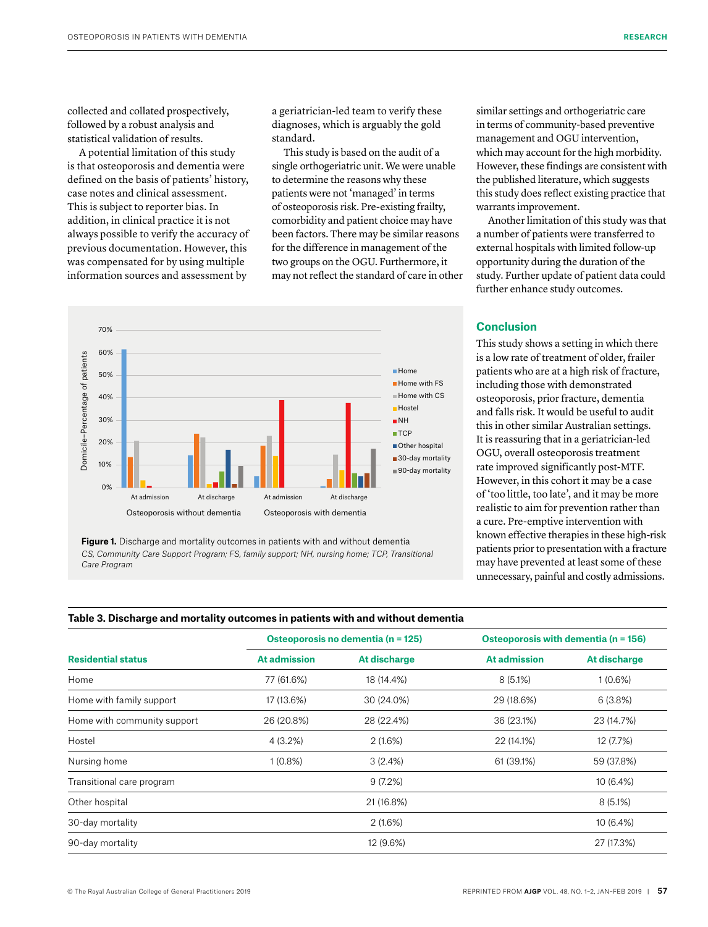collected and collated prospectively, followed by a robust analysis and statistical validation of results.

A potential limitation of this study is that osteoporosis and dementia were defined on the basis of patients' history, case notes and clinical assessment. This is subject to reporter bias. In addition, in clinical practice it is not always possible to verify the accuracy of previous documentation. However, this was compensated for by using multiple information sources and assessment by

a geriatrician-led team to verify these diagnoses, which is arguably the gold standard.

This study is based on the audit of a single orthogeriatric unit. We were unable to determine the reasons why these patients were not 'managed' in terms of osteoporosis risk. Pre-existing frailty, comorbidity and patient choice may have been factors. There may be similar reasons for the difference in management of the two groups on the OGU. Furthermore, it may not reflect the standard of care in other



**Figure 1.** Discharge and mortality outcomes in patients with and without dementia CS, Community Care Support Program; FS, family support; NH, nursing home; TCP, Transitional *Care Program*

similar settings and orthogeriatric care in terms of community-based preventive management and OGU intervention, which may account for the high morbidity. However, these findings are consistent with the published literature, which suggests this study does reflect existing practice that warrants improvement.

Another limitation of this study was that a number of patients were transferred to external hospitals with limited follow-up opportunity during the duration of the study. Further update of patient data could further enhance study outcomes.

# **Conclusion**

This study shows a setting in which there is a low rate of treatment of older, frailer patients who are at a high risk of fracture, including those with demonstrated osteoporosis, prior fracture, dementia and falls risk. It would be useful to audit this in other similar Australian settings. It is reassuring that in a geriatrician-led OGU, overall osteoporosis treatment rate improved significantly post-MTF. However, in this cohort it may be a case of 'too little, too late', and it may be more realistic to aim for prevention rather than a cure. Pre-emptive intervention with known effective therapies in these high-risk patients prior to presentation with a fracture may have prevented at least some of these unnecessary, painful and costly admissions.

| Table 3. Discharge and mortality outcomes in patients with and without dementia |  |  |
|---------------------------------------------------------------------------------|--|--|
|                                                                                 |  |  |

|                             | Osteoporosis no dementia (n = 125) |              | Osteoporosis with dementia (n = 156) |              |  |
|-----------------------------|------------------------------------|--------------|--------------------------------------|--------------|--|
| <b>Residential status</b>   | <b>At admission</b>                | At discharge | <b>At admission</b>                  | At discharge |  |
| Home                        | 77 (61.6%)                         | 18 (14.4%)   | 8(5.1%)                              | 1(0.6%)      |  |
| Home with family support    | 17 (13.6%)                         | 30 (24.0%)   | 29 (18.6%)                           | 6(3.8%)      |  |
| Home with community support | 26 (20.8%)                         | 28 (22.4%)   | 36 (23.1%)                           | 23 (14.7%)   |  |
| Hostel                      | 4 (3.2%)                           | 2(1.6%)      | 22 (14.1%)                           | 12 (7.7%)    |  |
| Nursing home                | $1(0.8\%)$                         | 3(2.4%)      | 61 (39.1%)                           | 59 (37.8%)   |  |
| Transitional care program   |                                    | 9(7.2%)      |                                      | 10 (6.4%)    |  |
| Other hospital              |                                    | 21 (16.8%)   |                                      | $8(5.1\%)$   |  |
| 30-day mortality            |                                    | 2(1.6%)      |                                      | $10(6.4\%)$  |  |
| 90-day mortality            |                                    | 12 (9.6%)    |                                      | 27 (17.3%)   |  |